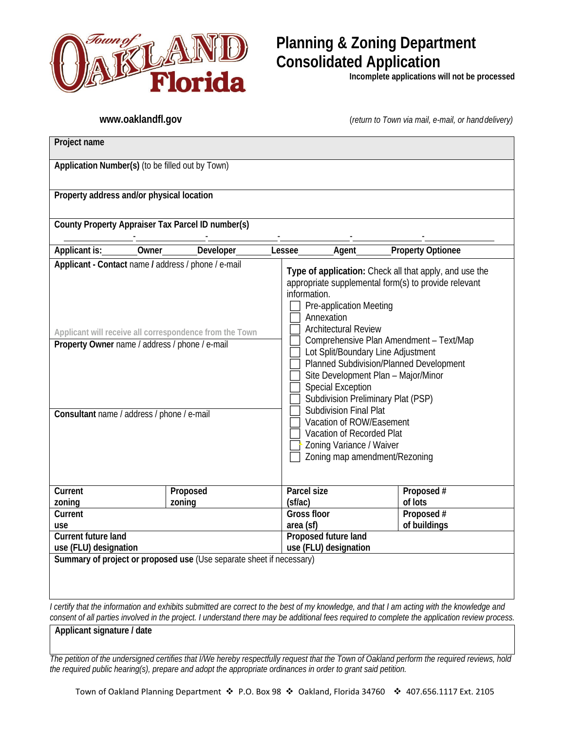

# **Planning & Zoning Department Consolidated Application**

**Incomplete applications will not be processed**

**[www.oaklandfl.gov](http://www.oaklandfl.gov/)** (*return to Town via mail, e-mail, or handdelivery)*

| Project name                                                                                                                                                                                                                                                                                                                                                                                                                                                                                                                                                                                                                                                                                                                                                                                                                                                 |           |                               |            |
|--------------------------------------------------------------------------------------------------------------------------------------------------------------------------------------------------------------------------------------------------------------------------------------------------------------------------------------------------------------------------------------------------------------------------------------------------------------------------------------------------------------------------------------------------------------------------------------------------------------------------------------------------------------------------------------------------------------------------------------------------------------------------------------------------------------------------------------------------------------|-----------|-------------------------------|------------|
| Application Number(s) (to be filled out by Town)                                                                                                                                                                                                                                                                                                                                                                                                                                                                                                                                                                                                                                                                                                                                                                                                             |           |                               |            |
| Property address and/or physical location                                                                                                                                                                                                                                                                                                                                                                                                                                                                                                                                                                                                                                                                                                                                                                                                                    |           |                               |            |
| County Property Appraiser Tax Parcel ID number(s)                                                                                                                                                                                                                                                                                                                                                                                                                                                                                                                                                                                                                                                                                                                                                                                                            |           |                               |            |
| <b>Applicant is:</b>                                                                                                                                                                                                                                                                                                                                                                                                                                                                                                                                                                                                                                                                                                                                                                                                                                         | Developer | Agent                         |            |
| <b>Property Optionee</b><br>Owner<br>Lessee<br>Applicant - Contact name / address / phone / e-mail<br>Type of application: Check all that apply, and use the<br>appropriate supplemental form(s) to provide relevant<br>information.<br>Pre-application Meeting<br>Annexation<br><b>Architectural Review</b><br>Applicant will receive all correspondence from the Town<br>Comprehensive Plan Amendment - Text/Map<br>Property Owner name / address / phone / e-mail<br>Lot Split/Boundary Line Adjustment<br>Planned Subdivision/Planned Development<br>Site Development Plan - Major/Minor<br><b>Special Exception</b><br>Subdivision Preliminary Plat (PSP)<br>Subdivision Final Plat<br>Consultant name / address / phone / e-mail<br>Vacation of ROW/Easement<br>Vacation of Recorded Plat<br>Zoning Variance / Waiver<br>Zoning map amendment/Rezoning |           |                               |            |
| Current                                                                                                                                                                                                                                                                                                                                                                                                                                                                                                                                                                                                                                                                                                                                                                                                                                                      | Proposed  | Parcel size                   | Proposed # |
| zoning                                                                                                                                                                                                                                                                                                                                                                                                                                                                                                                                                                                                                                                                                                                                                                                                                                                       | zoning    | (sf/ac)<br><b>Gross floor</b> | of lots    |
| Current                                                                                                                                                                                                                                                                                                                                                                                                                                                                                                                                                                                                                                                                                                                                                                                                                                                      |           |                               | Proposed # |
| use                                                                                                                                                                                                                                                                                                                                                                                                                                                                                                                                                                                                                                                                                                                                                                                                                                                          |           | of buildings<br>area (sf)     |            |
| Current future land                                                                                                                                                                                                                                                                                                                                                                                                                                                                                                                                                                                                                                                                                                                                                                                                                                          |           | Proposed future land          |            |
| use (FLU) designation<br>use (FLU) designation<br>Summary of project or proposed use (Use separate sheet if necessary)                                                                                                                                                                                                                                                                                                                                                                                                                                                                                                                                                                                                                                                                                                                                       |           |                               |            |
|                                                                                                                                                                                                                                                                                                                                                                                                                                                                                                                                                                                                                                                                                                                                                                                                                                                              |           |                               |            |

*I certify that the information and exhibits submitted are correct to the best of my knowledge, and that I am acting with the knowledge and consent of all parties involved in the project. I understand there may be additional fees required to complete the application review process.*

**Applicant signature / date**

*The petition of the undersigned certifies that I/We hereby respectfully request that the Town of Oakland perform the required reviews, hold the required public hearing(s), prepare and adopt the appropriate ordinances in order to grant said petition.*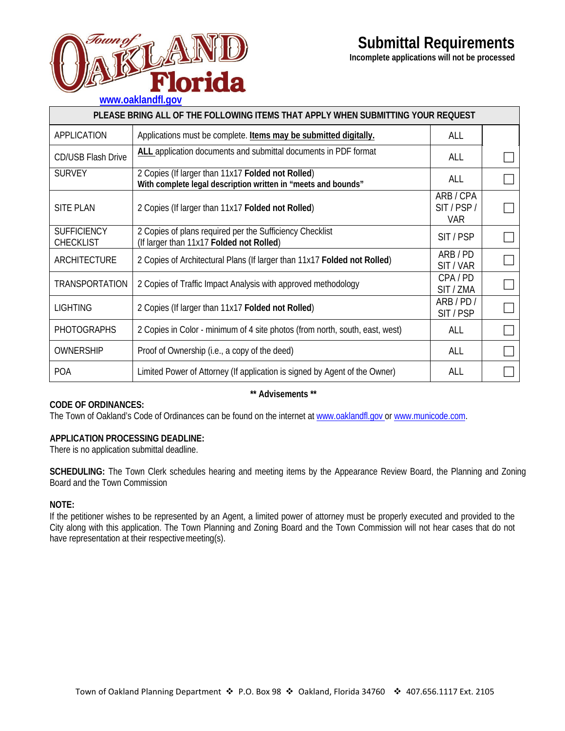

**Incomplete applications will not be processed**



| PLEASE BRING ALL OF THE FOLLOWING ITEMS THAT APPLY WHEN SUBMITTING YOUR REQUEST |                                                                                                                    |                                   |  |
|---------------------------------------------------------------------------------|--------------------------------------------------------------------------------------------------------------------|-----------------------------------|--|
| APPLICATION                                                                     | Applications must be complete. Items may be submitted digitally.                                                   | ALL                               |  |
| <b>CD/USB Flash Drive</b>                                                       | ALL application documents and submittal documents in PDF format                                                    | ALL                               |  |
| <b>SURVEY</b>                                                                   | 2 Copies (If larger than 11x17 Folded not Rolled)<br>With complete legal description written in "meets and bounds" | ALL                               |  |
| <b>SITE PLAN</b>                                                                | 2 Copies (If larger than 11x17 Folded not Rolled)                                                                  | ARB/CPA<br>SIT/PSP/<br><b>VAR</b> |  |
| <b>SUFFICIENCY</b><br><b>CHECKLIST</b>                                          | 2 Copies of plans required per the Sufficiency Checklist<br>(If larger than 11x17 Folded not Rolled)               | SIT/PSP                           |  |
| <b>ARCHITECTURE</b>                                                             | 2 Copies of Architectural Plans (If larger than 11x17 Folded not Rolled)                                           | ARB/PD<br>SIT / VAR               |  |
| TRANSPORTATION                                                                  | 2 Copies of Traffic Impact Analysis with approved methodology                                                      | CPA/PD<br>SIT / ZMA               |  |
| <b>LIGHTING</b>                                                                 | 2 Copies (If larger than 11x17 Folded not Rolled)                                                                  | ARB/PD/<br>SIT/PSP                |  |
| <b>PHOTOGRAPHS</b>                                                              | 2 Copies in Color - minimum of 4 site photos (from north, south, east, west)                                       | ALL                               |  |
| OWNERSHIP                                                                       | Proof of Ownership (i.e., a copy of the deed)                                                                      | ALL                               |  |
| <b>POA</b>                                                                      | Limited Power of Attorney (If application is signed by Agent of the Owner)                                         | ALL                               |  |

## **CODE OF ORDINANCES:**

#### **\*\* Advisements \*\***

The Town of Oakland's Code of Ordinances can be found on the internet at www.oaklandfl.gov or [www.municode.com.](http://www.municode.com/)

#### **APPLICATION PROCESSING DEADLINE:**

There is no application submittal deadline.

**SCHEDULING:** The Town Clerk schedules hearing and meeting items by the Appearance Review Board, the Planning and Zoning Board and the Town Commission

## **NOTE:**

If the petitioner wishes to be represented by an Agent, a limited power of attorney must be properly executed and provided to the City along with this application. The Town Planning and Zoning Board and the Town Commission will not hear cases that do not have representation at their respectivemeeting(s).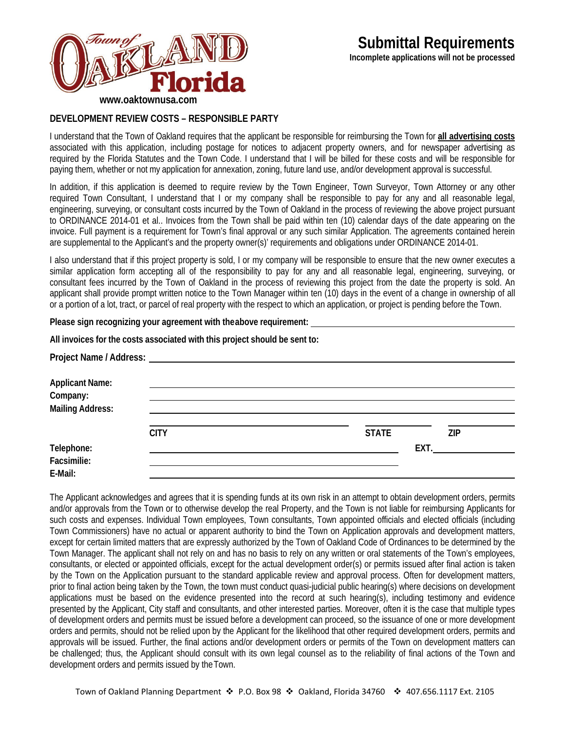

## **DEVELOPMENT REVIEW COSTS – RESPONSIBLE PARTY**

I understand that the Town of Oakland requires that the applicant be responsible for reimbursing the Town for **all advertising costs**  associated with this application, including postage for notices to adjacent property owners, and for newspaper advertising as required by the Florida Statutes and the Town Code. I understand that I will be billed for these costs and will be responsible for paying them, whether or not my application for annexation, zoning, future land use, and/or development approval is successful.

In addition, if this application is deemed to require review by the Town Engineer, Town Surveyor, Town Attorney or any other required Town Consultant, I understand that I or my company shall be responsible to pay for any and all reasonable legal, engineering, surveying, or consultant costs incurred by the Town of Oakland in the process of reviewing the above project pursuant to ORDINANCE 2014-01 et al.. Invoices from the Town shall be paid within ten (10) calendar days of the date appearing on the invoice. Full payment is a requirement for Town's final approval or any such similar Application. The agreements contained herein are supplemental to the Applicant's and the property owner(s)' requirements and obligations under ORDINANCE 2014-01.

I also understand that if this project property is sold, I or my company will be responsible to ensure that the new owner executes a similar application form accepting all of the responsibility to pay for any and all reasonable legal, engineering, surveying, or consultant fees incurred by the Town of Oakland in the process of reviewing this project from the date the property is sold. An applicant shall provide prompt written notice to the Town Manager within ten (10) days in the event of a change in ownership of all or a portion of a lot, tract, or parcel of real property with the respect to which an application, or project is pending before the Town.

**Please sign recognizing your agreement with theabove requirement:** 

|                                                               | All invoices for the costs associated with this project should be sent to: |              |            |
|---------------------------------------------------------------|----------------------------------------------------------------------------|--------------|------------|
|                                                               |                                                                            |              |            |
| <b>Applicant Name:</b><br>Company:<br><b>Mailing Address:</b> |                                                                            |              |            |
|                                                               | <b>CITY</b>                                                                | <b>STATE</b> | <b>ZIP</b> |
| Telephone:<br>Facsimilie:<br>E-Mail:                          |                                                                            |              | EXT.       |

The Applicant acknowledges and agrees that it is spending funds at its own risk in an attempt to obtain development orders, permits and/or approvals from the Town or to otherwise develop the real Property, and the Town is not liable for reimbursing Applicants for such costs and expenses. Individual Town employees, Town consultants, Town appointed officials and elected officials (including Town Commissioners) have no actual or apparent authority to bind the Town on Application approvals and development matters, except for certain limited matters that are expressly authorized by the Town of Oakland Code of Ordinances to be determined by the Town Manager. The applicant shall not rely on and has no basis to rely on any written or oral statements of the Town's employees, consultants, or elected or appointed officials, except for the actual development order(s) or permits issued after final action is taken by the Town on the Application pursuant to the standard applicable review and approval process. Often for development matters, prior to final action being taken by the Town, the town must conduct quasi-judicial public hearing(s) where decisions on development applications must be based on the evidence presented into the record at such hearing(s), including testimony and evidence presented by the Applicant, City staff and consultants, and other interested parties. Moreover, often it is the case that multiple types of development orders and permits must be issued before a development can proceed, so the issuance of one or more development orders and permits, should not be relied upon by the Applicant for the likelihood that other required development orders, permits and approvals will be issued. Further, the final actions and/or development orders or permits of the Town on development matters can be challenged; thus, the Applicant should consult with its own legal counsel as to the reliability of final actions of the Town and development orders and permits issued by the Town.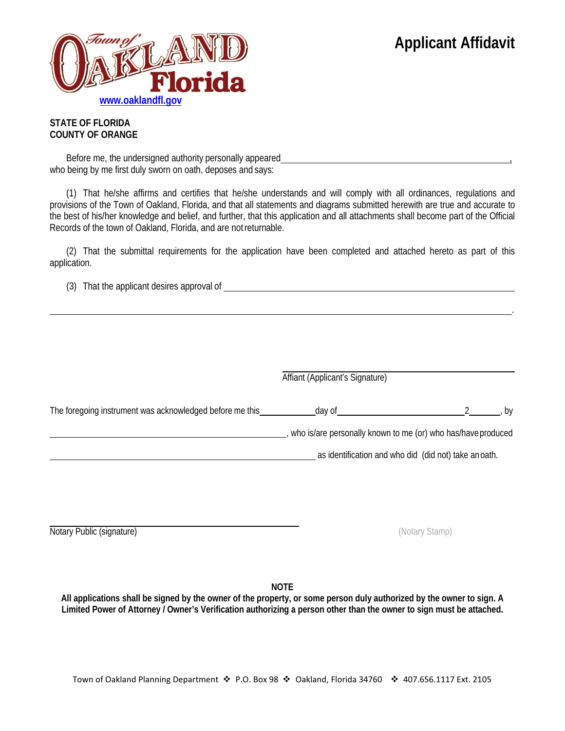.



## **STATE OF FLORIDA COUNTY OF ORANGE**

Before me, the undersigned authority personally appeared who being by me first duly sworn on oath, deposes and says:

(1) That he/she affirms and certifies that he/she understands and will comply with all ordinances, regulations and provisions of the Town of Oakland, Florida, and that all statements and diagrams submitted herewith are true and accurate to the best of his/her knowledge and belief, and further, that this application and all attachments shall become part of the Official Records of the town of Oakland, Florida, and are notreturnable.

(2) That the submittal requirements for the application have been completed and attached hereto as part of this application.

(3) That the applicant desires approval of

|                                                          | Affiant (Applicant's Signature)                              |  |      |
|----------------------------------------------------------|--------------------------------------------------------------|--|------|
| The foregoing instrument was acknowledged before me this | day of                                                       |  | , by |
|                                                          | who is/are personally known to me (or) who has/have produced |  |      |
|                                                          | as identification and who did (did not) take an oath.        |  |      |
|                                                          |                                                              |  |      |
|                                                          |                                                              |  |      |

Notary Public (signature) (Notary Stamp)

**NOTE**

**All applications shall be signed by the owner of the property, or some person duly authorized by the owner to sign. A Limited Power of Attorney / Owner's Verification authorizing a person other than the owner to sign must be attached.**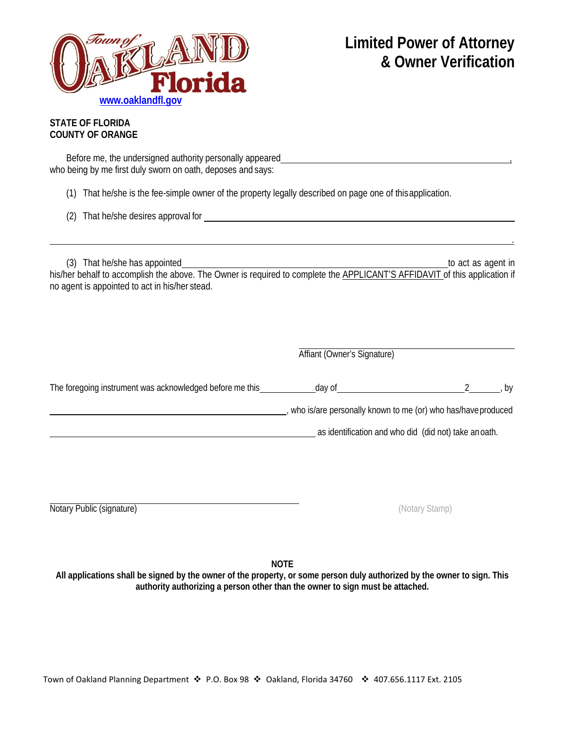

.

## **STATE OF FLORIDA COUNTY OF ORANGE**

Before me, the undersigned authority personally appeared who being by me first duly sworn on oath, deposes and says:

(1) That he/she is the fee-simple owner of the property legally described on page one of thisapplication.

(2) That he/she desires approval for

(3) That he/she has appointed to act as agent in his/her behalf to accomplish the above. The Owner is required to complete the **APPLICANT'S AFFIDAVIT** of this application if no agent is appointed to act in his/her stead.

| Affiant (Owner's Signature) |  |
|-----------------------------|--|
|-----------------------------|--|

The foregoing instrument was acknowledged before me this day of day of a metal of the control of the control of the control of the control of the control of the control of the control of the control of the control of the c

, who is/are personally known to me (or) who has/haveproduced

as identification and who did (did not) take anoath.

Notary Public (signature) (Notary Stamp)

**NOTE**

**All applications shall be signed by the owner of the property, or some person duly authorized by the owner to sign. This authority authorizing a person other than the owner to sign must be attached.**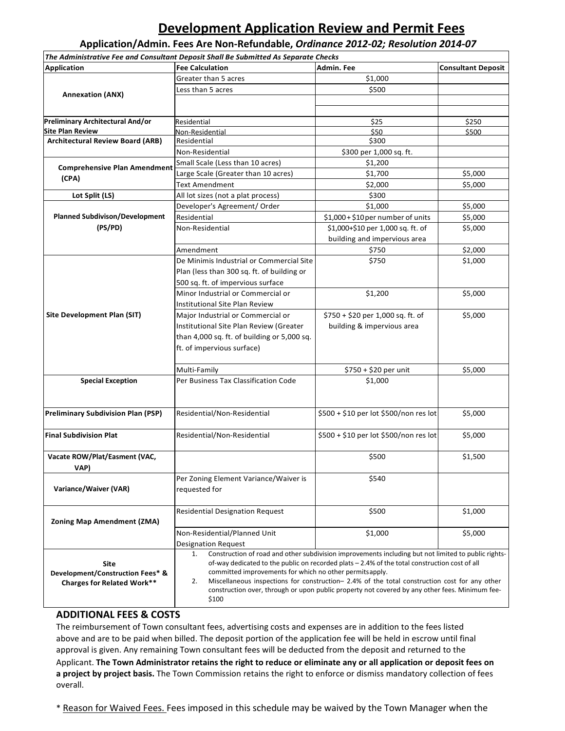## **Development Application Review and Permit Fees**

**Application/Admin. Fees Are Non-Refundable,** *Ordinance 2012-02; Resolution 2014-07*

|                                                                                                                                                                                                     | The Administrative Fee and Consultant Deposit Shall Be Submitted As Separate Checks            |                                                                                                     |                           |
|-----------------------------------------------------------------------------------------------------------------------------------------------------------------------------------------------------|------------------------------------------------------------------------------------------------|-----------------------------------------------------------------------------------------------------|---------------------------|
| <b>Application</b>                                                                                                                                                                                  | <b>Fee Calculation</b>                                                                         | Admin. Fee                                                                                          | <b>Consultant Deposit</b> |
|                                                                                                                                                                                                     | Greater than 5 acres                                                                           | \$1,000                                                                                             |                           |
| <b>Annexation (ANX)</b>                                                                                                                                                                             | Less than 5 acres                                                                              | \$500                                                                                               |                           |
|                                                                                                                                                                                                     |                                                                                                |                                                                                                     |                           |
|                                                                                                                                                                                                     |                                                                                                |                                                                                                     |                           |
| Preliminary Architectural And/or                                                                                                                                                                    | Residential                                                                                    | \$25                                                                                                | \$250                     |
| <b>Site Plan Review</b>                                                                                                                                                                             | Non-Residential                                                                                | \$50                                                                                                | \$500                     |
| <b>Architectural Review Board (ARB)</b>                                                                                                                                                             | Residential                                                                                    | \$300                                                                                               |                           |
|                                                                                                                                                                                                     | Non-Residential                                                                                | \$300 per 1,000 sq. ft.                                                                             |                           |
| <b>Comprehensive Plan Amendment</b>                                                                                                                                                                 | Small Scale (Less than 10 acres)                                                               | \$1,200                                                                                             |                           |
| (CPA)                                                                                                                                                                                               | Large Scale (Greater than 10 acres)                                                            | \$1,700                                                                                             | \$5,000                   |
|                                                                                                                                                                                                     | <b>Text Amendment</b>                                                                          | \$2,000                                                                                             | \$5,000                   |
| Lot Split (LS)                                                                                                                                                                                      | All lot sizes (not a plat process)                                                             | \$300                                                                                               |                           |
|                                                                                                                                                                                                     | Developer's Agreement/ Order                                                                   | \$1,000                                                                                             | \$5,000                   |
| <b>Planned Subdivison/Development</b>                                                                                                                                                               | Residential                                                                                    | \$1,000 + \$10 per number of units                                                                  | \$5,000                   |
| (PS/PD)                                                                                                                                                                                             | Non-Residential                                                                                | \$1,000+\$10 per 1,000 sq. ft. of                                                                   | \$5,000                   |
|                                                                                                                                                                                                     |                                                                                                | building and impervious area                                                                        |                           |
|                                                                                                                                                                                                     | Amendment                                                                                      | \$750                                                                                               | \$2,000                   |
|                                                                                                                                                                                                     | De Minimis Industrial or Commercial Site                                                       | \$750                                                                                               | \$1,000                   |
|                                                                                                                                                                                                     | Plan (less than 300 sq. ft. of building or                                                     |                                                                                                     |                           |
|                                                                                                                                                                                                     | 500 sq. ft. of impervious surface                                                              |                                                                                                     |                           |
|                                                                                                                                                                                                     | Minor Industrial or Commercial or                                                              | \$1,200                                                                                             | \$5,000                   |
|                                                                                                                                                                                                     | Institutional Site Plan Review                                                                 |                                                                                                     |                           |
| <b>Site Development Plan (SIT)</b>                                                                                                                                                                  | Major Industrial or Commercial or                                                              | \$750 + \$20 per 1,000 sq. ft. of                                                                   | \$5,000                   |
|                                                                                                                                                                                                     | Institutional Site Plan Review (Greater                                                        | building & impervious area                                                                          |                           |
|                                                                                                                                                                                                     | than 4,000 sq. ft. of building or 5,000 sq.                                                    |                                                                                                     |                           |
|                                                                                                                                                                                                     | ft. of impervious surface)                                                                     |                                                                                                     |                           |
|                                                                                                                                                                                                     |                                                                                                |                                                                                                     |                           |
|                                                                                                                                                                                                     | Multi-Family                                                                                   | $$750 + $20$ per unit                                                                               | \$5,000                   |
| <b>Special Exception</b>                                                                                                                                                                            | Per Business Tax Classification Code                                                           | \$1,000                                                                                             |                           |
|                                                                                                                                                                                                     |                                                                                                |                                                                                                     |                           |
|                                                                                                                                                                                                     |                                                                                                |                                                                                                     |                           |
|                                                                                                                                                                                                     |                                                                                                |                                                                                                     |                           |
| <b>Preliminary Subdivision Plan (PSP)</b>                                                                                                                                                           | Residential/Non-Residential                                                                    | \$500 + \$10 per lot \$500/non res lot                                                              | \$5,000                   |
|                                                                                                                                                                                                     |                                                                                                |                                                                                                     |                           |
| <b>Final Subdivision Plat</b>                                                                                                                                                                       | Residential/Non-Residential                                                                    | \$500 + \$10 per lot \$500/non res lot                                                              | \$5,000                   |
|                                                                                                                                                                                                     |                                                                                                |                                                                                                     |                           |
| Vacate ROW/Plat/Easment (VAC,                                                                                                                                                                       |                                                                                                | \$500                                                                                               | \$1,500                   |
| VAP)                                                                                                                                                                                                |                                                                                                |                                                                                                     |                           |
|                                                                                                                                                                                                     | Per Zoning Element Variance/Waiver is                                                          | \$540                                                                                               |                           |
| Variance/Waiver (VAR)                                                                                                                                                                               | requested for                                                                                  |                                                                                                     |                           |
|                                                                                                                                                                                                     |                                                                                                |                                                                                                     |                           |
|                                                                                                                                                                                                     | <b>Residential Designation Request</b>                                                         | \$500                                                                                               | \$1,000                   |
| <b>Zoning Map Amendment (ZMA)</b>                                                                                                                                                                   |                                                                                                |                                                                                                     |                           |
|                                                                                                                                                                                                     | Non-Residential/Planned Unit                                                                   | \$1,000                                                                                             | \$5,000                   |
|                                                                                                                                                                                                     | <b>Designation Request</b>                                                                     |                                                                                                     |                           |
|                                                                                                                                                                                                     | 1.                                                                                             | Construction of road and other subdivision improvements including but not limited to public rights- |                           |
| Site                                                                                                                                                                                                | of-way dedicated to the public on recorded plats - 2.4% of the total construction cost of all  |                                                                                                     |                           |
| committed improvements for which no other permits apply.<br>Development/Construction Fees* &<br>Miscellaneous inspections for construction- 2.4% of the total construction cost for any other<br>2. |                                                                                                |                                                                                                     |                           |
| <b>Charges for Related Work**</b>                                                                                                                                                                   | construction over, through or upon public property not covered by any other fees. Minimum fee- |                                                                                                     |                           |
|                                                                                                                                                                                                     | \$100                                                                                          |                                                                                                     |                           |
|                                                                                                                                                                                                     |                                                                                                |                                                                                                     |                           |

## **ADDITIONAL FEES & COSTS**

The reimbursement of Town consultant fees, advertising costs and expenses are in addition to the fees listed above and are to be paid when billed. The deposit portion of the application fee will be held in escrow until final approval is given. Any remaining Town consultant fees will be deducted from the deposit and returned to the Applicant. **The Town Administrator retains the right to reduce or eliminate any or all application or deposit fees on a project by project basis.** The Town Commission retains the right to enforce or dismiss mandatory collection of fees overall.

\* Reason for Waived Fees. Fees imposed in this schedule may be waived by the Town Manager when the